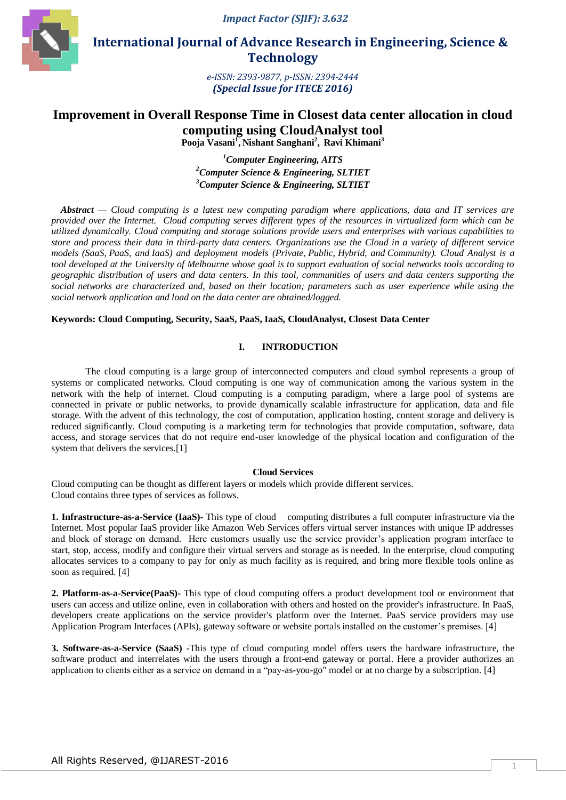*Impact Factor (SJIF): 3.632*



 **International Journal of Advance Research in Engineering, Science & Technology** 

> *e-ISSN: 2393-9877, p-ISSN: 2394-2444 (Special Issue for ITECE 2016)*

# **Improvement in Overall Response Time in Closest data center allocation in cloud computing using CloudAnalyst tool Pooja Vasani<sup>1</sup> , Nishant Sanghani<sup>2</sup> , Ravi Khimani<sup>3</sup>**

*<sup>1</sup>Computer Engineering, AITS <sup>2</sup>Computer Science & Engineering, SLTIET <sup>3</sup>Computer Science & Engineering, SLTIET*

*Abstract* **—** *Cloud computing is a latest new computing paradigm where applications, data and IT services are provided over the Internet. Cloud computing serves different types of the resources in virtualized form which can be utilized dynamically. Cloud computing and storage solutions provide users and enterprises with various capabilities to store and process their data in third-party data centers. Organizations use the Cloud in a variety of different service models [\(SaaS,](https://en.wikipedia.org/wiki/SaaS) [PaaS,](https://en.wikipedia.org/wiki/PaaS) and [IaaS\)](https://en.wikipedia.org/wiki/IaaS) and deployment models [\(Private,](https://en.wikipedia.org/wiki/Cloud_computing#Private_cloud) [Public,](https://en.wikipedia.org/wiki/Cloud_computing#Public_cloud) [Hybrid,](https://en.wikipedia.org/wiki/Cloud_computing#Hybrid) and [Community\)](https://en.wikipedia.org/wiki/Community_cloud). Cloud Analyst is a tool developed at the University of Melbourne whose goal is to support evaluation of social networks tools according to geographic distribution of users and data centers. In this tool, communities of users and data centers supporting the social networks are characterized and, based on their location; parameters such as user experience while using the social network application and load on the data center are obtained/logged.*

# **Keywords: Cloud Computing, Security, SaaS, PaaS, IaaS, CloudAnalyst, Closest Data Center**

# **I. INTRODUCTION**

The cloud computing is a large group of interconnected computers and cloud symbol represents a group of systems or complicated networks. Cloud computing is one way of communication among the various system in the network with the help of internet. Cloud computing is a computing paradigm, where a large pool of systems are connected in private or public networks, to provide dynamically scalable infrastructure for application, data and file storage. With the advent of this technology, the cost of computation, application hosting, content storage and delivery is reduced significantly. Cloud computing is a marketing term for technologies that provide computation, software, data access, and storage services that do not require end-user knowledge of the physical location and configuration of the system that delivers the services.<sup>[1]</sup>

### **Cloud Services**

Cloud computing can be thought as different layers or models which provide different services. Cloud contains three types of services as follows.

**1. Infrastructure-as-a-Service (IaaS)-** This type of cloud computing distributes a full computer infrastructure via the Internet. Most popular IaaS provider like Amazon Web Services offers virtual server instances with unique IP addresses and block of storage on demand. Here customers usually use the service provider's application program interface to start, stop, access, modify and configure their virtual servers and storage as is needed. In the enterprise, cloud computing allocates services to a company to pay for only as much facility as is required, and bring more flexible tools online as soon as required. [4]

**2. Platform-as-a-Service(PaaS)-** This type of cloud computing offers a product development tool or environment that users can access and utilize online, even in collaboration with others and hosted on the provider's infrastructure. In PaaS, developers create applications on the service provider's platform over the Internet. PaaS service providers may use Application Program Interfaces (APIs), gateway software or website portals installed on the customer's premises. [4]

**3. Software-as-a-Service (SaaS) -**This type of cloud computing model offers users the hardware infrastructure, the software product and interrelates with the users through a front-end gateway or portal. Here a provider authorizes an application to clients either as a service on demand in a "pay-as-you-go" model or at no charge by a subscription. [4]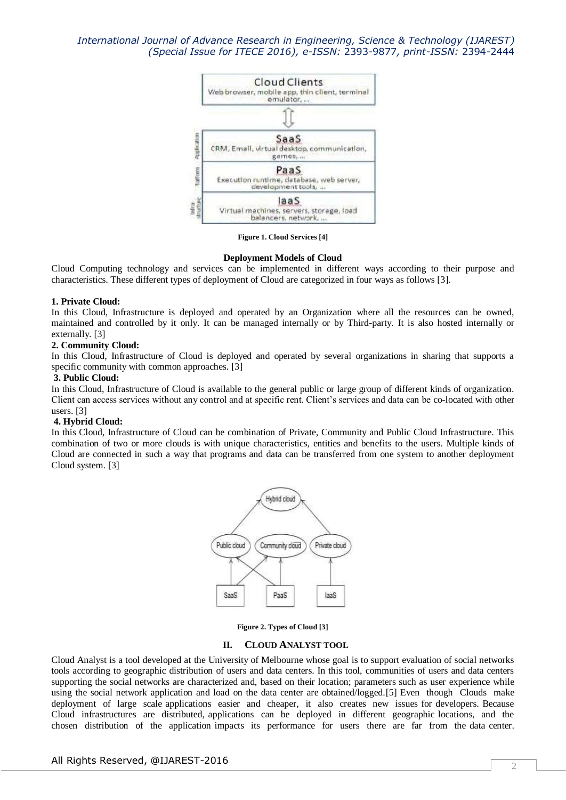

**Figure 1. Cloud Services [4]**

#### **Deployment Models of Cloud**

Cloud Computing technology and services can be implemented in different ways according to their purpose and characteristics. These different types of deployment of Cloud are categorized in four ways as follows [3].

### **1. Private Cloud:**

In this Cloud, Infrastructure is deployed and operated by an Organization where all the resources can be owned, maintained and controlled by it only. It can be managed internally or by Third-party. It is also hosted internally or externally. [3]

### **2. Community Cloud:**

In this Cloud, Infrastructure of Cloud is deployed and operated by several organizations in sharing that supports a specific community with common approaches. [3]

### **3. Public Cloud:**

In this Cloud, Infrastructure of Cloud is available to the general public or large group of different kinds of organization. Client can access services without any control and at specific rent. Client's services and data can be co-located with other users. [3]

### **4. Hybrid Cloud:**

In this Cloud, Infrastructure of Cloud can be combination of Private, Community and Public Cloud Infrastructure. This combination of two or more clouds is with unique characteristics, entities and benefits to the users. Multiple kinds of Cloud are connected in such a way that programs and data can be transferred from one system to another deployment Cloud system. [3]



**Figure 2. Types of Cloud [3]**

#### **II. CLOUD ANALYST TOOL**

Cloud Analyst is a tool developed at the University of Melbourne whose goal is to support evaluation of social networks tools according to geographic distribution of users and data centers. In this tool, communities of users and data centers supporting the social networks are characterized and, based on their location; parameters such as user experience while using the social network application and load on the data center are obtained/logged.[5] Even though Clouds make deployment of large scale applications easier and cheaper, it also creates new issues for developers. Because Cloud infrastructures are distributed, applications can be deployed in different geographic locations, and the chosen distribution of the application impacts its performance for users there are far from the data center.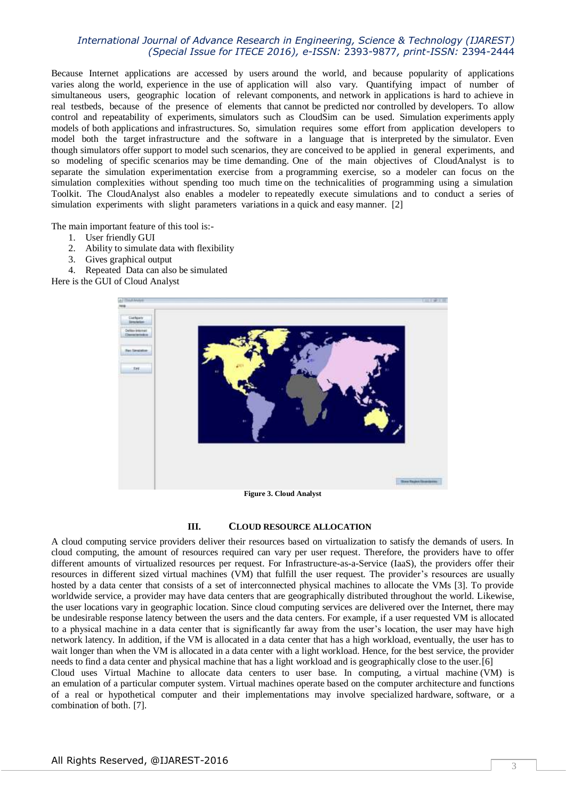Because Internet applications are accessed by users around the world, and because popularity of applications varies along the world, experience in the use of application will also vary. Quantifying impact of number of simultaneous users, geographic location of relevant components, and network in applications is hard to achieve in real testbeds, because of the presence of elements that cannot be predicted nor controlled by developers. To allow control and repeatability of experiments, simulators such as CloudSim can be used. Simulation experiments apply models of both applications and infrastructures. So, simulation requires some effort from application developers to model both the target infrastructure and the software in a language that is interpreted by the simulator. Even though simulators offer support to model such scenarios, they are conceived to be applied in general experiments, and so modeling of specific scenarios may be time demanding. One of the main objectives of CloudAnalyst is to separate the simulation experimentation exercise from a programming exercise, so a modeler can focus on the simulation complexities without spending too much time on the technicalities of programming using a simulation Toolkit. The CloudAnalyst also enables a modeler to repeatedly execute simulations and to conduct a series of simulation experiments with slight parameters variations in a quick and easy manner. [2]

The main important feature of this tool is:-

- 1. User friendly GUI
- 2. Ability to simulate data with flexibility
- 3. Gives graphical output
- 4. Repeated Data can also be simulated

Here is the GUI of Cloud Analyst



### **III. CLOUD RESOURCE ALLOCATION**

A cloud computing service providers deliver their resources based on virtualization to satisfy the demands of users. In cloud computing, the amount of resources required can vary per user request. Therefore, the providers have to offer different amounts of virtualized resources per request. For Infrastructure-as-a-Service (IaaS), the providers offer their resources in different sized virtual machines (VM) that fulfill the user request. The provider's resources are usually hosted by a data center that consists of a set of interconnected physical machines to allocate the VMs [3]. To provide worldwide service, a provider may have data centers that are geographically distributed throughout the world. Likewise, the user locations vary in geographic location. Since cloud computing services are delivered over the Internet, there may be undesirable response latency between the users and the data centers. For example, if a user requested VM is allocated to a physical machine in a data center that is significantly far away from the user's location, the user may have high network latency. In addition, if the VM is allocated in a data center that has a high workload, eventually, the user has to wait longer than when the VM is allocated in a data center with a light workload. Hence, for the best service, the provider needs to find a data center and physical machine that has a light workload and is geographically close to the user.[6] Cloud uses Virtual Machine to allocate data centers to user base. In computing, a virtual machine (VM) is

an [emulation](https://en.wikipedia.org/wiki/Emulator) of a particular computer system. Virtual machines operate based on the [computer architecture](https://en.wikipedia.org/wiki/Computer_architecture) and functions of a real or hypothetical computer and their implementations may involve specialized [hardware,](https://en.wikipedia.org/wiki/Computer_hardware) [software,](https://en.wikipedia.org/wiki/Software) or a combination of both. [7].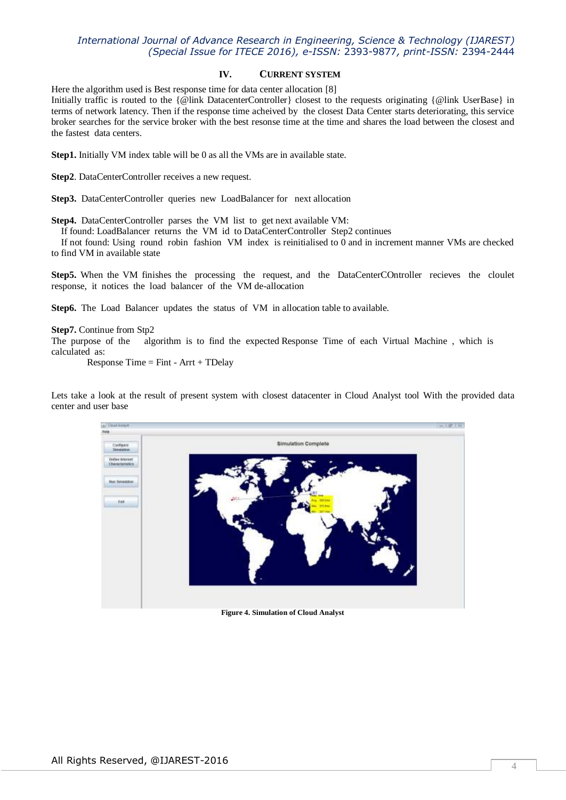## **IV. CURRENT SYSTEM**

Here the algorithm used is Best response time for data center allocation [8] Initially traffic is routed to the {@link DatacenterController} closest to the requests originating {@link UserBase} in terms of network latency. Then if the response time acheived by the closest Data Center starts deteriorating, this service broker searches for the service broker with the best resonse time at the time and shares the load between the closest and the fastest data centers.

**Step1.** Initially VM index table will be 0 as all the VMs are in available state.

**Step2**. DataCenterController receives a new request.

**Step3.** DataCenterController queries new LoadBalancer for next allocation

**Step4.** DataCenterController parses the VM list to get next available VM:

If found: LoadBalancer returns the VM id to DataCenterController Step2 continues

 If not found: Using round robin fashion VM index is reinitialised to 0 and in increment manner VMs are checked to find VM in available state

Step5. When the VM finishes the processing the request, and the DataCenterCOntroller recieves the cloulet response, it notices the load balancer of the VM de-allocation

**Step6.** The Load Balancer updates the status of VM in allocation table to available.

### **Step7.** Continue from Stp2

The purpose of the algorithm is to find the expected Response Time of each Virtual Machine , which is calculated as:

Response Time  $=$  Fint  $-$  Arrt  $+$  TDelay

Lets take a look at the result of present system with closest datacenter in Cloud Analyst tool With the provided data center and user base



**Figure 4. Simulation of Cloud Analyst**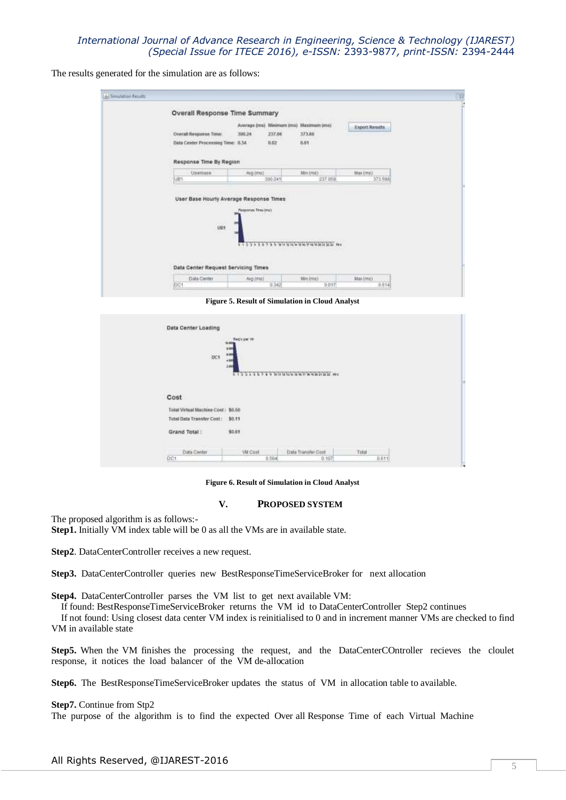The results generated for the simulation are as follows:

| Overal Response Time:                              |                                             |         |                                                             |                |  |
|----------------------------------------------------|---------------------------------------------|---------|-------------------------------------------------------------|----------------|--|
|                                                    |                                             |         | Average (ms). Minimum (ms). Maximum (ms).                   | Export Results |  |
|                                                    | 300.24                                      | 237.06  | 373.60                                                      |                |  |
| Data Center Processing Time: 0.34                  |                                             | 0.02    | 0.01                                                        |                |  |
|                                                    |                                             |         |                                                             |                |  |
| Response Time By Region                            |                                             |         |                                                             |                |  |
| Usemsse                                            | Avg tms).                                   |         | Min Imili                                                   | Maxime1        |  |
| <b>UB1</b>                                         |                                             | 306:241 | 237 059                                                     | 373.908        |  |
| ٠<br>ues<br>2505                                   | <b>Reported Time Invest</b><br><b>NONDE</b> |         |                                                             |                |  |
|                                                    |                                             |         | TTLVILLVINTHUMMMMMMMMMMM<br><u>Martin Martin Martin Sta</u> |                |  |
| Data Center Request Servicing Times<br>Data Center |                                             |         | Min (mis)                                                   | Man (mis)      |  |

**Figure 5. Result of Simulation in Cloud Analyst**

| Data Center Loading<br>DC1                                   | The Copy Inc.<br>調節<br>3,868<br>$\frac{1}{2}$ , $\frac{1}{2}$ , $\frac{1}{2}$ , $\frac{1}{2}$ , $\frac{1}{2}$ , $\frac{1}{2}$ , $\frac{1}{2}$ , $\frac{1}{2}$ , $\frac{1}{2}$ , $\frac{1}{2}$ , $\frac{1}{2}$ , $\frac{1}{2}$ , $\frac{1}{2}$ , $\frac{1}{2}$ , $\frac{1}{2}$ , $\frac{1}{2}$ , $\frac{1}{2}$ , $\frac{1}{2}$ , $\frac{1$ |
|--------------------------------------------------------------|-------------------------------------------------------------------------------------------------------------------------------------------------------------------------------------------------------------------------------------------------------------------------------------------------------------------------------------------|
| Cost                                                         |                                                                                                                                                                                                                                                                                                                                           |
| Total Virtual Machine Cost: \$0.50                           |                                                                                                                                                                                                                                                                                                                                           |
|                                                              |                                                                                                                                                                                                                                                                                                                                           |
| Total Data Transfer Cost:<br>otal Data Transfer Cost: \$0.11 |                                                                                                                                                                                                                                                                                                                                           |
| Grand Total:                                                 | \$0.61                                                                                                                                                                                                                                                                                                                                    |
| the process of<br>Data Center                                | Aramatan Indo<br>Total<br>Data Transfer Cost<br><b>VM Cost</b>                                                                                                                                                                                                                                                                            |

**Figure 6. Result of Simulation in Cloud Analyst**

#### **V. PROPOSED SYSTEM**

The proposed algorithm is as follows:-

**Step1.** Initially VM index table will be 0 as all the VMs are in available state.

**Step2**. DataCenterController receives a new request.

**Step3.** DataCenterController queries new BestResponseTimeServiceBroker for next allocation

**Step4.** DataCenterController parses the VM list to get next available VM:

If found: BestResponseTimeServiceBroker returns the VM id to DataCenterController Step2 continues

 If not found: Using closest data center VM index is reinitialised to 0 and in increment manner VMs are checked to find VM in available state

Step5. When the VM finishes the processing the request, and the DataCenterCOntroller recieves the cloulet response, it notices the load balancer of the VM de-allocation

**Step6.** The BestResponseTimeServiceBroker updates the status of VM in allocation table to available.

#### **Step7.** Continue from Stp2

The purpose of the algorithm is to find the expected Over all Response Time of each Virtual Machine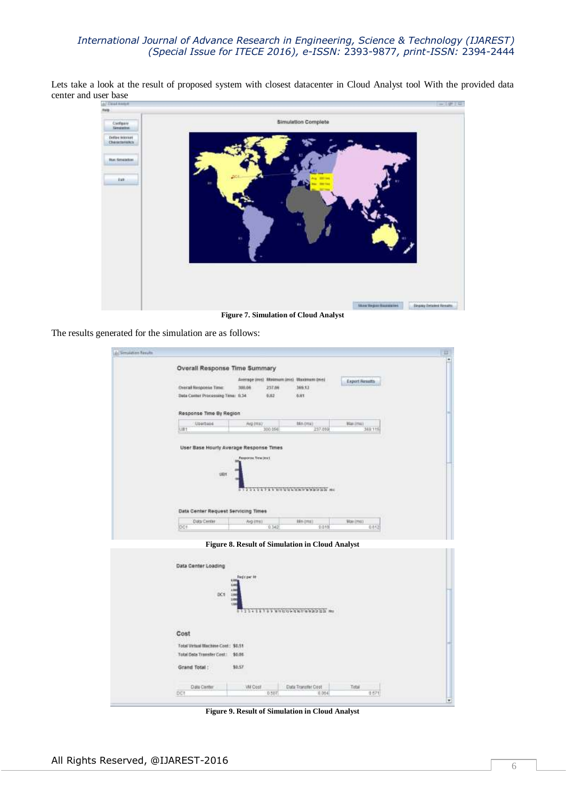Lets take a look at the result of proposed system with closest datacenter in Cloud Analyst tool With the provided data center and user base



The results generated for the simulation are as follows:

| Al Smission Fesute |                                                                    |                                                                                 |                |                               |                       |       |  |
|--------------------|--------------------------------------------------------------------|---------------------------------------------------------------------------------|----------------|-------------------------------|-----------------------|-------|--|
|                    | <b>Overall Response Time Summary</b>                               |                                                                                 |                |                               |                       |       |  |
|                    | <b>Overalt Response Time:</b><br>Data Canter Processing Time: 0.34 | Average (ms): Minimum (ms) Maximum (ms)<br>308.04<br>257.0 <sub>m</sub><br>0.02 |                | 169.12<br><b>GJET</b>         | <b>Export Results</b> |       |  |
|                    | Response Time By Region                                            |                                                                                 |                |                               |                       |       |  |
|                    | Uperbase<br>UB1                                                    | <b>AVA (TITA)</b><br>300.056                                                    |                | film (ma)<br>237.050          | Max (mix)<br>369.115  |       |  |
|                    | User Base Hourly Average Response Times                            |                                                                                 |                |                               |                       |       |  |
|                    |                                                                    | Response Time (Inc).                                                            |                |                               |                       |       |  |
|                    | 18f                                                                |                                                                                 |                |                               |                       |       |  |
|                    |                                                                    |                                                                                 |                |                               |                       |       |  |
|                    |                                                                    |                                                                                 |                | - ファッファンチメンスカステロメンタンスクス 101   |                       |       |  |
|                    |                                                                    |                                                                                 | <b>G-12777</b> |                               |                       |       |  |
|                    | Data Center Request Servicing Times                                |                                                                                 |                |                               |                       |       |  |
|                    |                                                                    |                                                                                 |                |                               |                       |       |  |
|                    | <b>Data Center</b>                                                 | Avg (ms):                                                                       |                | <b>Min (ms)</b>               | <b>Viax creats</b>    |       |  |
|                    | DC1                                                                | 0.342<br>Figure 8. Result of Simulation in Cloud Analyst                        |                | 0.019                         |                       | 0.612 |  |
|                    | Data Center Loading<br>18<br>1.4<br>DC1<br>100<br>3.88<br>194      | Redit par Ht                                                                    |                | 111414799 WHICH SAFERED 20 MH |                       |       |  |
|                    | Cost                                                               |                                                                                 |                |                               |                       |       |  |
|                    | Total Virtual Machine Cost: \$6.51                                 |                                                                                 |                |                               |                       |       |  |
|                    | <b>Total Deba Transfer Cost: \$0.06</b>                            |                                                                                 |                |                               |                       |       |  |
|                    | Grand Total:                                                       | \$0.57                                                                          |                |                               |                       |       |  |
|                    | <b>Data Carter</b>                                                 | <b>Will Cost</b>                                                                |                | Data Transfer Coot            | Total                 |       |  |

**Figure 9. Result of Simulation in Cloud Analyst**